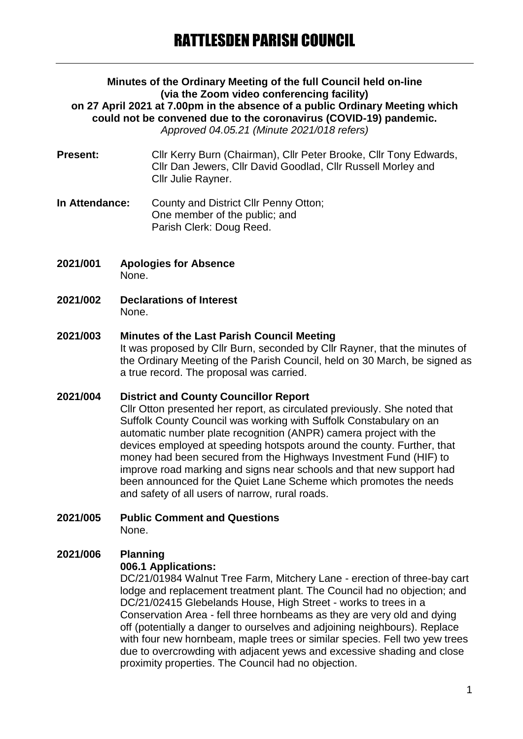#### **Minutes of the Ordinary Meeting of the full Council held on-line (via the Zoom video conferencing facility) on 27 April 2021 at 7.00pm in the absence of a public Ordinary Meeting which could not be convened due to the coronavirus (COVID-19) pandemic.** *Approved 04.05.21 (Minute 2021/018 refers)*

- **Present:** Cllr Kerry Burn (Chairman), Cllr Peter Brooke, Cllr Tony Edwards, Cllr Dan Jewers, Cllr David Goodlad, Cllr Russell Morley and Cllr Julie Rayner.
- **In Attendance:** County and District Cllr Penny Otton; One member of the public; and Parish Clerk: Doug Reed.
- **2021/001 Apologies for Absence** None.
- **2021/002 Declarations of Interest** None.

#### **2021/003 Minutes of the Last Parish Council Meeting** It was proposed by Cllr Burn, seconded by Cllr Rayner, that the minutes of the Ordinary Meeting of the Parish Council, held on 30 March, be signed as a true record. The proposal was carried.

## **2021/004 District and County Councillor Report** Cllr Otton presented her report, as circulated previously. She noted that Suffolk County Council was working with Suffolk Constabulary on an automatic number plate recognition (ANPR) camera project with the devices employed at speeding hotspots around the county. Further, that money had been secured from the Highways Investment Fund (HIF) to improve road marking and signs near schools and that new support had been announced for the Quiet Lane Scheme which promotes the needs and safety of all users of narrow, rural roads.

**2021/005 Public Comment and Questions** None.

# **2021/006 Planning**

## **006.1 Applications:**

DC/21/01984 Walnut Tree Farm, Mitchery Lane - erection of three-bay cart lodge and replacement treatment plant. The Council had no objection; and DC/21/02415 Glebelands House, High Street - works to trees in a Conservation Area - fell three hornbeams as they are very old and dying off (potentially a danger to ourselves and adjoining neighbours). Replace with four new hornbeam, maple trees or similar species. Fell two yew trees due to overcrowding with adjacent yews and excessive shading and close proximity properties. The Council had no objection.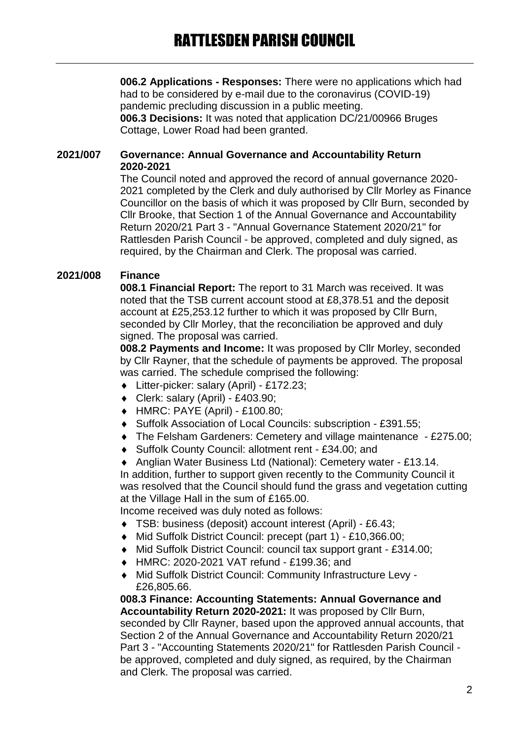**006.2 Applications - Responses:** There were no applications which had had to be considered by e-mail due to the coronavirus (COVID-19) pandemic precluding discussion in a public meeting. **006.3 Decisions:** It was noted that application DC/21/00966 Bruges Cottage, Lower Road had been granted.

## **2021/007 Governance: Annual Governance and Accountability Return 2020-2021**

The Council noted and approved the record of annual governance 2020- 2021 completed by the Clerk and duly authorised by Cllr Morley as Finance Councillor on the basis of which it was proposed by Cllr Burn, seconded by Cllr Brooke, that Section 1 of the Annual Governance and Accountability Return 2020/21 Part 3 - "Annual Governance Statement 2020/21" for Rattlesden Parish Council - be approved, completed and duly signed, as required, by the Chairman and Clerk. The proposal was carried.

## **2021/008 Finance**

**008.1 Financial Report:** The report to 31 March was received. It was noted that the TSB current account stood at £8,378.51 and the deposit account at £25,253.12 further to which it was proposed by Cllr Burn, seconded by Cllr Morley, that the reconciliation be approved and duly signed. The proposal was carried.

**008.2 Payments and Income:** It was proposed by Cllr Morley, seconded by Cllr Rayner, that the schedule of payments be approved. The proposal was carried. The schedule comprised the following:

- Litter-picker: salary (April) £172.23;
- Clerk: salary (April) £403.90;
- HMRC: PAYE (April) £100.80;
- Suffolk Association of Local Councils: subscription £391.55;
- The Felsham Gardeners: Cemetery and village maintenance £275.00;
- Suffolk County Council: allotment rent £34.00; and
- Anglian Water Business Ltd (National): Cemetery water £13.14.

In addition, further to support given recently to the Community Council it was resolved that the Council should fund the grass and vegetation cutting at the Village Hall in the sum of £165.00.

Income received was duly noted as follows:

- TSB: business (deposit) account interest (April) £6.43;
- Mid Suffolk District Council: precept (part 1) £10,366.00;
- Mid Suffolk District Council: council tax support grant £314.00;
- HMRC: 2020-2021 VAT refund £199.36; and
- Mid Suffolk District Council: Community Infrastructure Levy £26,805.66.

**008.3 Finance: Accounting Statements: Annual Governance and Accountability Return 2020-2021:** It was proposed by Cllr Burn, seconded by Cllr Rayner, based upon the approved annual accounts, that Section 2 of the Annual Governance and Accountability Return 2020/21 Part 3 - "Accounting Statements 2020/21" for Rattlesden Parish Council be approved, completed and duly signed, as required, by the Chairman and Clerk. The proposal was carried.